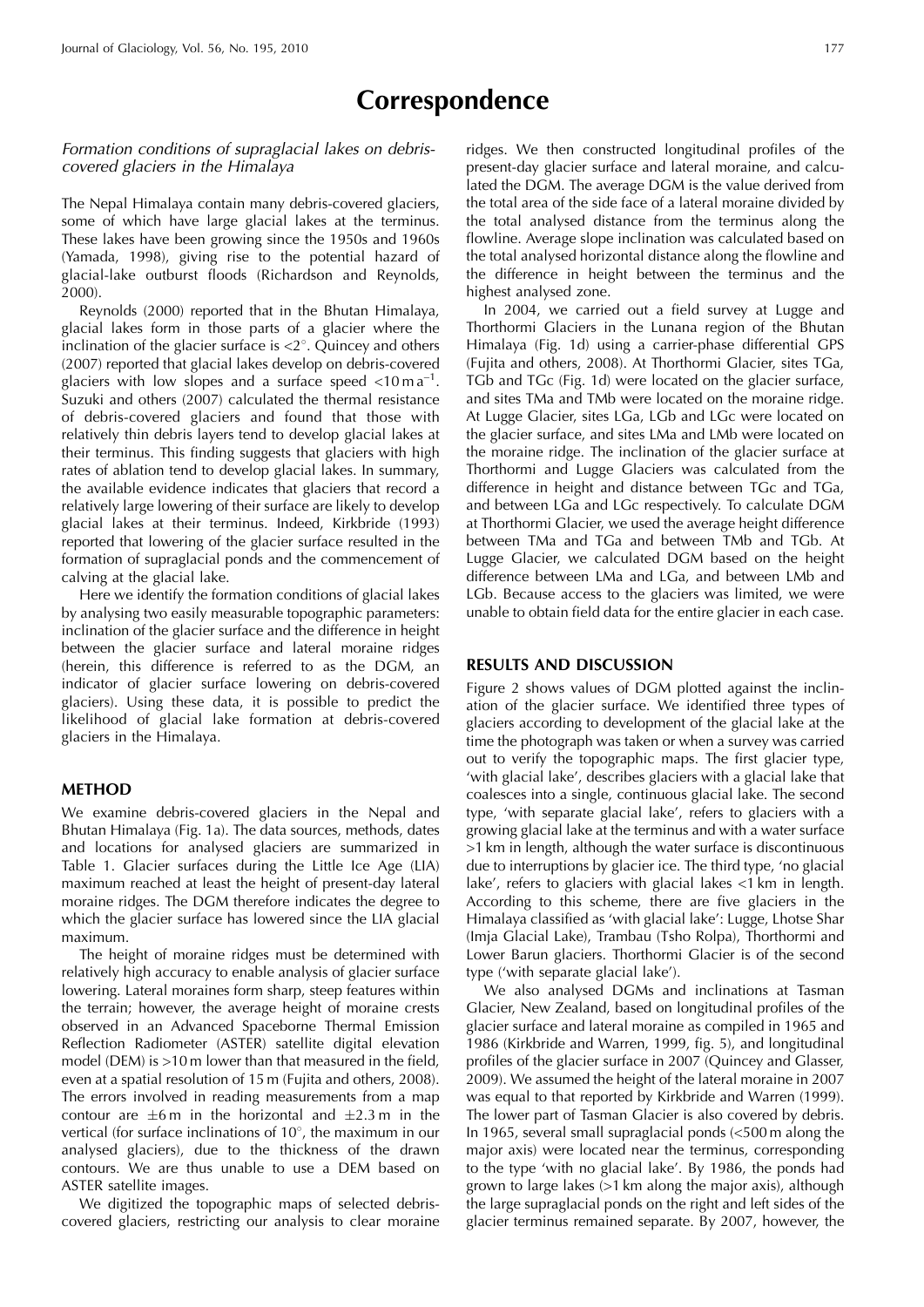# **Correspondence**

## Formation conditions of supraglacial lakes on debriscovered glaciers in the Himalaya

The Nepal Himalaya contain many debris-covered glaciers, some of which have large glacial lakes at the terminus. These lakes have been growing since the 1950s and 1960s (Yamada, 1998), giving rise to the potential hazard of glacial-lake outburst floods (Richardson and Reynolds, 2000).

Reynolds (2000) reported that in the Bhutan Himalaya, glacial lakes form in those parts of a glacier where the inclination of the glacier surface is  $\langle 2^{\circ}$ . Quincey and others (2007) reported that glacial lakes develop on debris-covered glaciers with low slopes and a surface speed  $<$ 10 m a<sup>-1</sup>. Suzuki and others (2007) calculated the thermal resistance of debris-covered glaciers and found that those with relatively thin debris layers tend to develop glacial lakes at their terminus. This finding suggests that glaciers with high rates of ablation tend to develop glacial lakes. In summary, the available evidence indicates that glaciers that record a relatively large lowering of their surface are likely to develop glacial lakes at their terminus. Indeed, Kirkbride (1993) reported that lowering of the glacier surface resulted in the formation of supraglacial ponds and the commencement of calving at the glacial lake.

Here we identify the formation conditions of glacial lakes by analysing two easily measurable topographic parameters: inclination of the glacier surface and the difference in height between the glacier surface and lateral moraine ridges (herein, this difference is referred to as the DGM, an indicator of glacier surface lowering on debris-covered glaciers). Using these data, it is possible to predict the likelihood of glacial lake formation at debris-covered glaciers in the Himalaya.

## **METHOD**

We examine debris-covered glaciers in the Nepal and Bhutan Himalaya (Fig. 1a). The data sources, methods, dates and locations for analysed glaciers are summarized in Table 1. Glacier surfaces during the Little Ice Age (LIA) maximum reached at least the height of present-day lateral moraine ridges. The DGM therefore indicates the degree to which the glacier surface has lowered since the LIA glacial maximum.

The height of moraine ridges must be determined with relatively high accuracy to enable analysis of glacier surface lowering. Lateral moraines form sharp, steep features within the terrain; however, the average height of moraine crests observed in an Advanced Spaceborne Thermal Emission Reflection Radiometer (ASTER) satellite digital elevation model (DEM) is >10 m lower than that measured in the field, even at a spatial resolution of 15 m (Fujita and others, 2008). The errors involved in reading measurements from a map contour are  $\pm 6$ m in the horizontal and  $\pm 2.3$ m in the vertical (for surface inclinations of  $10^{\circ}$ , the maximum in our analysed glaciers), due to the thickness of the drawn contours. We are thus unable to use a DEM based on ASTER satellite images.

We digitized the topographic maps of selected debriscovered glaciers, restricting our analysis to clear moraine ridges. We then constructed longitudinal profiles of the present-day glacier surface and lateral moraine, and calculated the DGM. The average DGM is the value derived from the total area of the side face of a lateral moraine divided by the total analysed distance from the terminus along the flowline. Average slope inclination was calculated based on the total analysed horizontal distance along the flowline and the difference in height between the terminus and the highest analysed zone.

In 2004, we carried out a field survey at Lugge and Thorthormi Glaciers in the Lunana region of the Bhutan Himalaya (Fig. 1d) using a carrier-phase differential GPS (Fujita and others, 2008). At Thorthormi Glacier, sites TGa, TGb and TGc (Fig. 1d) were located on the glacier surface, and sites TMa and TMb were located on the moraine ridge. At Lugge Glacier, sites LGa, LGb and LGc were located on the glacier surface, and sites LMa and LMb were located on the moraine ridge. The inclination of the glacier surface at Thorthormi and Lugge Glaciers was calculated from the difference in height and distance between TGc and TGa, and between LGa and LGc respectively. To calculate DGM at Thorthormi Glacier, we used the average height difference between TMa and TGa and between TMb and TGb. At Lugge Glacier, we calculated DGM based on the height difference between LMa and LGa, and between LMb and LGb. Because access to the glaciers was limited, we were unable to obtain field data for the entire glacier in each case.

### **RESULTS AND DISCUSSION**

Figure 2 shows values of DGM plotted against the inclination of the glacier surface. We identified three types of glaciers according to development of the glacial lake at the time the photograph was taken or when a survey was carried out to verify the topographic maps. The first glacier type, 'with glacial lake', describes glaciers with a glacial lake that coalesces into a single, continuous glacial lake. The second type, 'with separate glacial lake', refers to glaciers with a growing glacial lake at the terminus and with a water surface >1 km in length, although the water surface is discontinuous due to interruptions by glacier ice. The third type, 'no glacial lake', refers to glaciers with glacial lakes <1 km in length. According to this scheme, there are five glaciers in the Himalaya classified as 'with glacial lake': Lugge, Lhotse Shar (Imja Glacial Lake), Trambau (Tsho Rolpa), Thorthormi and Lower Barun glaciers. Thorthormi Glacier is of the second type ('with separate glacial lake').

We also analysed DGMs and inclinations at Tasman Glacier, New Zealand, based on longitudinal profiles of the glacier surface and lateral moraine as compiled in 1965 and 1986 (Kirkbride and Warren, 1999, fig. 5), and longitudinal profiles of the glacier surface in 2007 (Quincey and Glasser, 2009). We assumed the height of the lateral moraine in 2007 was equal to that reported by Kirkbride and Warren (1999). The lower part of Tasman Glacier is also covered by debris. In 1965, several small supraglacial ponds (<500 m along the major axis) were located near the terminus, corresponding to the type 'with no glacial lake'. By 1986, the ponds had grown to large lakes (>1 km along the major axis), although the large supraglacial ponds on the right and left sides of the glacier terminus remained separate. By 2007, however, the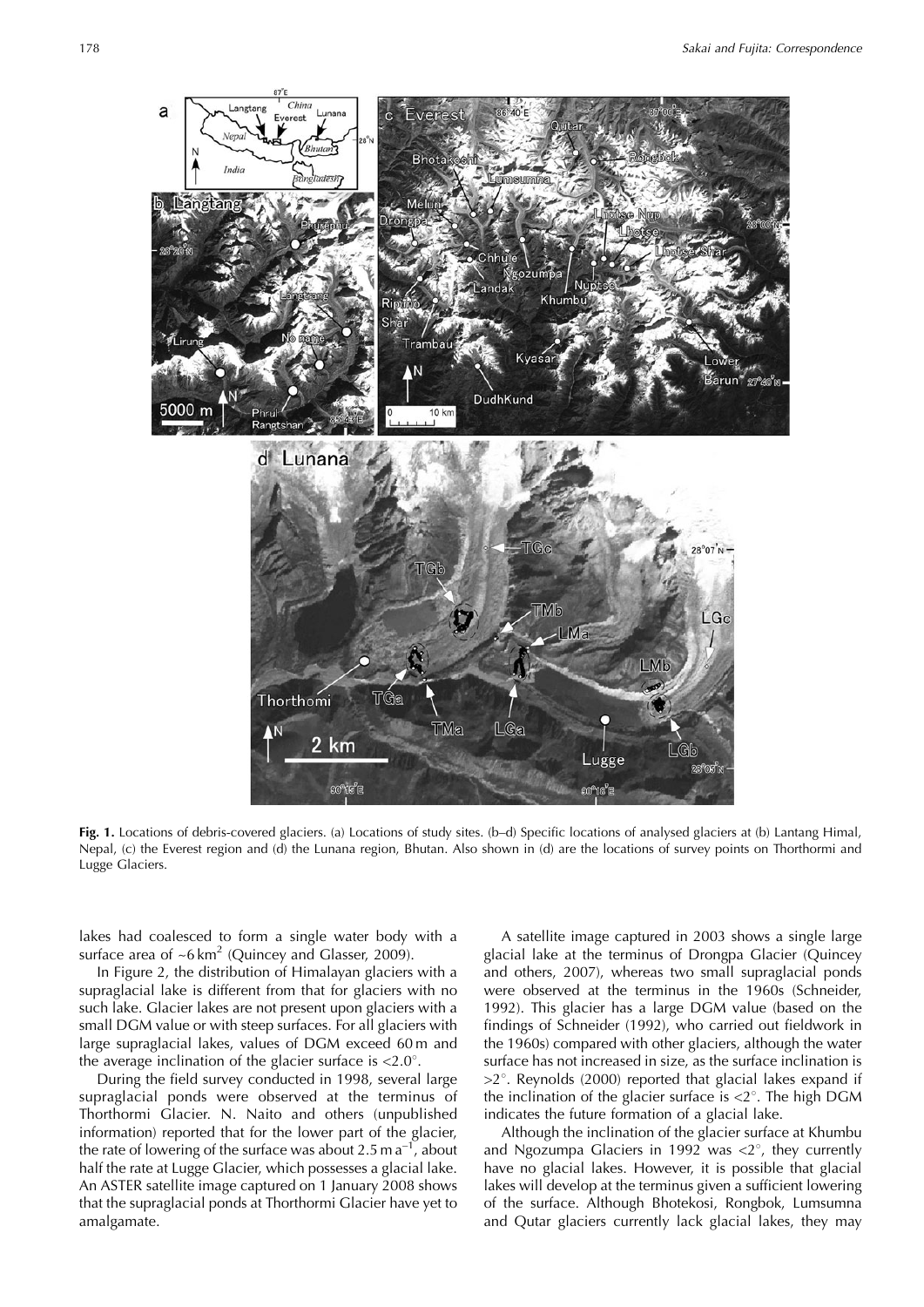

**Fig. 1.** Locations of debris-covered glaciers. (a) Locations of study sites. (b–d) Specific locations of analysed glaciers at (b) Lantang Himal, Nepal, (c) the Everest region and (d) the Lunana region, Bhutan. Also shown in (d) are the locations of survey points on Thorthormi and Lugge Glaciers.

lakes had coalesced to form a single water body with a surface area of  $~5$  km<sup>2</sup> (Quincey and Glasser, 2009).

In Figure 2, the distribution of Himalayan glaciers with a supraglacial lake is different from that for glaciers with no such lake. Glacier lakes are not present upon glaciers with a small DGM value or with steep surfaces. For all glaciers with large supraglacial lakes, values of DGM exceed 60 m and the average inclination of the glacier surface is  $\langle 2.0^\circ$ .

During the field survey conducted in 1998, several large supraglacial ponds were observed at the terminus of Thorthormi Glacier. N. Naito and others (unpublished information) reported that for the lower part of the glacier, the rate of lowering of the surface was about  $2.5$  m  $a^{-1}$ , about half the rate at Lugge Glacier, which possesses a glacial lake. An ASTER satellite image captured on 1 January 2008 shows that the supraglacial ponds at Thorthormi Glacier have yet to amalgamate.

A satellite image captured in 2003 shows a single large glacial lake at the terminus of Drongpa Glacier (Quincey and others, 2007), whereas two small supraglacial ponds were observed at the terminus in the 1960s (Schneider, 1992). This glacier has a large DGM value (based on the findings of Schneider (1992), who carried out fieldwork in the 1960s) compared with other glaciers, although the water surface has not increased in size, as the surface inclination is  $>2^\circ$ . Reynolds (2000) reported that glacial lakes expand if the inclination of the glacier surface is  $\langle 2^{\circ}$ . The high DGM indicates the future formation of a glacial lake.

Although the inclination of the glacier surface at Khumbu and Ngozumpa Glaciers in 1992 was  $\langle 2^{\circ} \rangle$ , they currently have no glacial lakes. However, it is possible that glacial lakes will develop at the terminus given a sufficient lowering of the surface. Although Bhotekosi, Rongbok, Lumsumna and Qutar glaciers currently lack glacial lakes, they may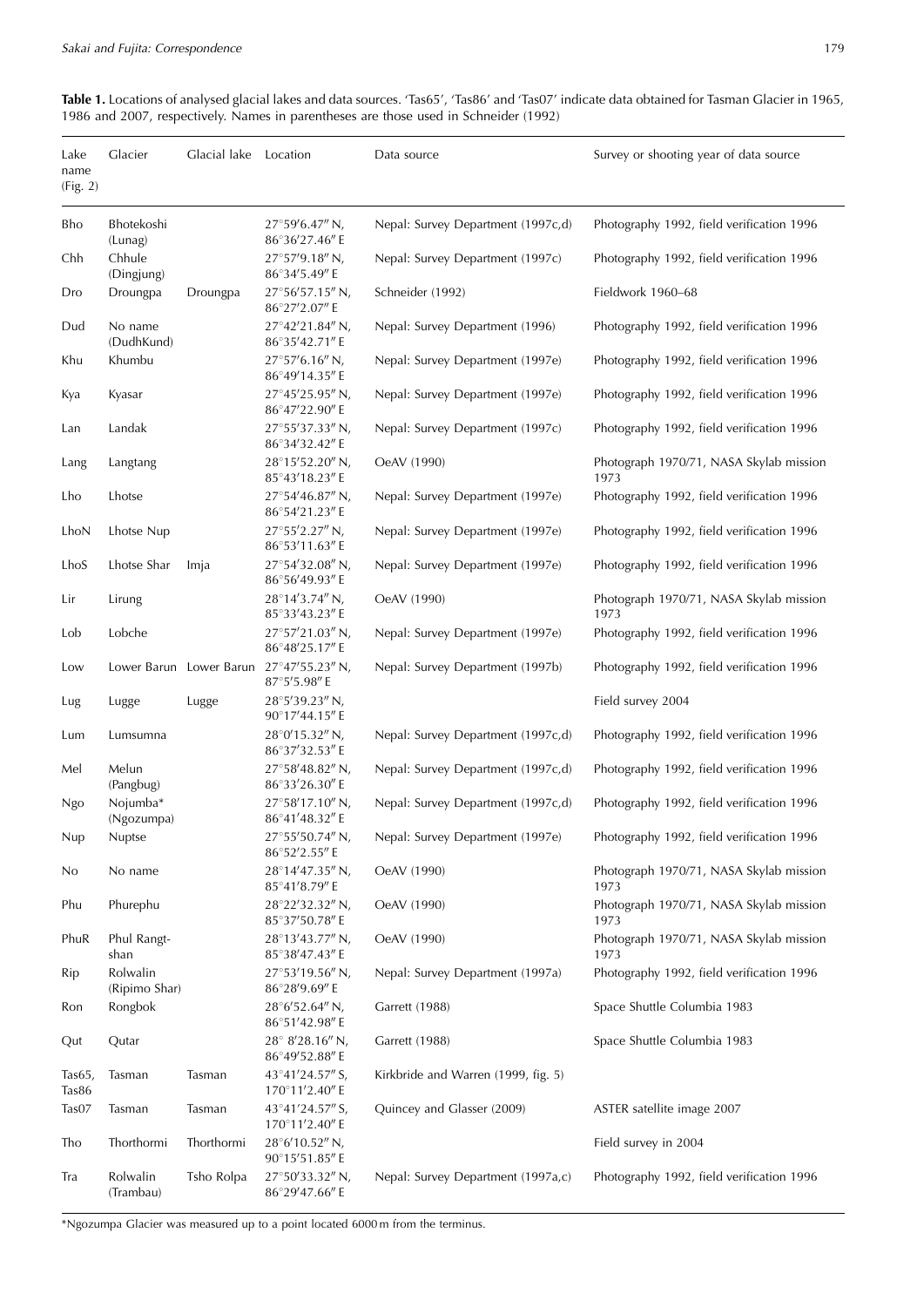**Table 1.** Locations of analysed glacial lakes and data sources. 'Tas65', 'Tas86' and 'Tas07' indicate data obtained for Tasman Glacier in 1965, 1986 and 2007, respectively. Names in parentheses are those used in Schneider (1992)

| Lake<br>name<br>(Fig. 2) | Glacier                   | Glacial lake            | Location                                   | Data source                         | Survey or shooting year of data source          |
|--------------------------|---------------------------|-------------------------|--------------------------------------------|-------------------------------------|-------------------------------------------------|
| Bho                      | Bhotekoshi<br>(Lunag)     |                         | 27°59'6.47" N,<br>86°36′27.46″ E           | Nepal: Survey Department (1997c,d)  | Photography 1992, field verification 1996       |
| Chh                      | Chhule<br>(Dingjung)      |                         | 27°57'9.18" N,<br>86°34'5.49" E            | Nepal: Survey Department (1997c)    | Photography 1992, field verification 1996       |
| Dro                      | Droungpa                  | Droungpa                | 27°56'57.15" N,<br>86°27'2.07" E           | Schneider (1992)                    | Fieldwork 1960-68                               |
| Dud                      | No name<br>(DudhKund)     |                         | 27°42'21.84" N,<br>86°35'42.71" E          | Nepal: Survey Department (1996)     | Photography 1992, field verification 1996       |
| Khu                      | Khumbu                    |                         | 27°57'6.16" N,<br>86°49'14.35" E           | Nepal: Survey Department (1997e)    | Photography 1992, field verification 1996       |
| Kya                      | Kyasar                    |                         | 27°45'25.95" N,<br>86°47'22.90" E          | Nepal: Survey Department (1997e)    | Photography 1992, field verification 1996       |
| Lan                      | Landak                    |                         | 27°55'37.33" N,<br>86°34'32.42" E          | Nepal: Survey Department (1997c)    | Photography 1992, field verification 1996       |
| Lang                     | Langtang                  |                         | 28°15'52.20" N,<br>85°43'18.23" E          | OeAV (1990)                         | Photograph 1970/71, NASA Skylab mission<br>1973 |
| Lho                      | Lhotse                    |                         | 27°54'46.87" N,<br>86°54'21.23" E          | Nepal: Survey Department (1997e)    | Photography 1992, field verification 1996       |
| LhoN                     | Lhotse Nup                |                         | 27°55'2.27" N,<br>86°53'11.63" E           | Nepal: Survey Department (1997e)    | Photography 1992, field verification 1996       |
| LhoS                     | Lhotse Shar               | Imja                    | 27°54'32.08" N,<br>86°56'49.93" E          | Nepal: Survey Department (1997e)    | Photography 1992, field verification 1996       |
| Lir                      | Lirung                    |                         | 28°14'3.74" N,<br>85°33'43.23" E           | OeAV (1990)                         | Photograph 1970/71, NASA Skylab mission<br>1973 |
| Lob                      | Lobche                    |                         | 27°57'21.03" N,<br>86°48'25.17" E          | Nepal: Survey Department (1997e)    | Photography 1992, field verification 1996       |
| Low                      |                           | Lower Barun Lower Barun | 27°47'55.23" N,<br>87°5'5.98" E            | Nepal: Survey Department (1997b)    | Photography 1992, field verification 1996       |
| Lug                      | Lugge                     | Lugge                   | 28°5'39.23" N,<br>90°17'44.15" E           |                                     | Field survey 2004                               |
| Lum                      | Lumsumna                  |                         | 28°0'15.32" N,<br>86°37'32.53" E           | Nepal: Survey Department (1997c,d)  | Photography 1992, field verification 1996       |
| Mel                      | Melun<br>(Pangbug)        |                         | 27°58'48.82" N,<br>86°33'26.30" E          | Nepal: Survey Department (1997c,d)  | Photography 1992, field verification 1996       |
| Ngo                      | Nojumba*<br>(Ngozumpa)    |                         | 27°58'17.10" N,<br>86°41'48.32" E          | Nepal: Survey Department (1997c,d)  | Photography 1992, field verification 1996       |
| Nup                      | Nuptse                    |                         | $27^{\circ}55'50.74''$ N,<br>86°52′2.55″ E | Nepal: Survey Department (1997e)    | Photography 1992, field verification 1996       |
| No                       | No name                   |                         | 28°14'47.35" N,<br>85°41′8.79″ E           | OeAV (1990)                         | Photograph 1970/71, NASA Skylab mission<br>1973 |
| Phu                      | Phurephu                  |                         | 28°22'32.32" N,<br>85°37'50.78" E          | OeAV (1990)                         | Photograph 1970/71, NASA Skylab mission<br>1973 |
| PhuR                     | Phul Rangt-<br>shan       |                         | 28°13'43.77" N,<br>85°38'47.43" E          | OeAV (1990)                         | Photograph 1970/71, NASA Skylab mission<br>1973 |
| Rip                      | Rolwalin<br>(Ripimo Shar) |                         | 27°53'19.56" N,<br>86°28'9.69" E           | Nepal: Survey Department (1997a)    | Photography 1992, field verification 1996       |
| Ron                      | Rongbok                   |                         | $28^{\circ}6'52.64''$ N,<br>86°51'42.98" E | Garrett (1988)                      | Space Shuttle Columbia 1983                     |
| Qut                      | Qutar                     |                         | 28° 8'28.16" N,<br>86°49'52.88" E          | Garrett (1988)                      | Space Shuttle Columbia 1983                     |
| Tas $65$ ,<br>Tas86      | Tasman                    | Tasman                  | 43°41'24.57" S,<br>170°11'2.40" E          | Kirkbride and Warren (1999, fig. 5) |                                                 |
| Tas07                    | Tasman                    | Tasman                  | 43°41'24.57" S,<br>170°11'2.40" E          | Quincey and Glasser (2009)          | ASTER satellite image 2007                      |
| Tho                      | Thorthormi                | Thorthormi              | 28°6'10.52" N,<br>90°15'51.85" E           |                                     | Field survey in 2004                            |
| Tra                      | Rolwalin<br>(Trambau)     | Tsho Rolpa              | 27°50'33.32" N,<br>86°29'47.66" E          | Nepal: Survey Department (1997a,c)  | Photography 1992, field verification 1996       |

\*Ngozumpa Glacier was measured up to a point located 6000 m from the terminus.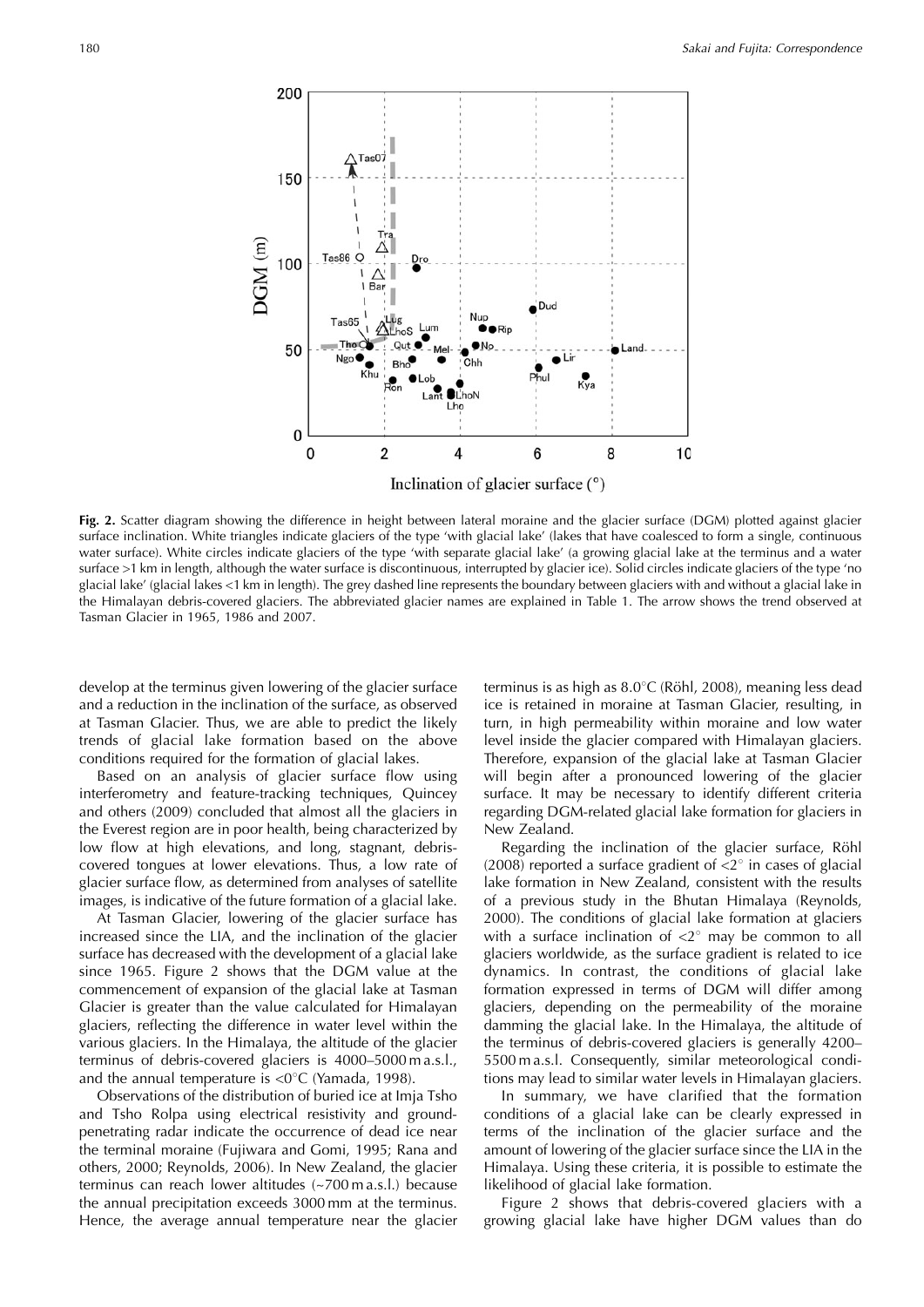

**Fig. 2.** Scatter diagram showing the difference in height between lateral moraine and the glacier surface (DGM) plotted against glacier surface inclination. White triangles indicate glaciers of the type 'with glacial lake' (lakes that have coalesced to form a single, continuous water surface). White circles indicate glaciers of the type 'with separate glacial lake' (a growing glacial lake at the terminus and a water surface >1 km in length, although the water surface is discontinuous, interrupted by glacier ice). Solid circles indicate glaciers of the type 'no glacial lake' (glacial lakes <1 km in length). The grey dashed line represents the boundary between glaciers with and without a glacial lake in the Himalayan debris-covered glaciers. The abbreviated glacier names are explained in Table 1. The arrow shows the trend observed at Tasman Glacier in 1965, 1986 and 2007.

develop at the terminus given lowering of the glacier surface and a reduction in the inclination of the surface, as observed at Tasman Glacier. Thus, we are able to predict the likely trends of glacial lake formation based on the above conditions required for the formation of glacial lakes.

Based on an analysis of glacier surface flow using interferometry and feature-tracking techniques, Quincey and others (2009) concluded that almost all the glaciers in the Everest region are in poor health, being characterized by low flow at high elevations, and long, stagnant, debriscovered tongues at lower elevations. Thus, a low rate of glacier surface flow, as determined from analyses of satellite images, is indicative of the future formation of a glacial lake.

At Tasman Glacier, lowering of the glacier surface has increased since the LIA, and the inclination of the glacier surface has decreased with the development of a glacial lake since 1965. Figure 2 shows that the DGM value at the commencement of expansion of the glacial lake at Tasman Glacier is greater than the value calculated for Himalayan glaciers, reflecting the difference in water level within the various glaciers. In the Himalaya, the altitude of the glacier terminus of debris-covered glaciers is 4000–5000 m a.s.l., and the annual temperature is  $\langle 0^\circ \text{C} \rangle$  (Yamada, 1998).

Observations of the distribution of buried ice at Imja Tsho and Tsho Rolpa using electrical resistivity and groundpenetrating radar indicate the occurrence of dead ice near the terminal moraine (Fujiwara and Gomi, 1995; Rana and others, 2000; Reynolds, 2006). In New Zealand, the glacier terminus can reach lower altitudes (~700 m a.s.l.) because the annual precipitation exceeds 3000 mm at the terminus. Hence, the average annual temperature near the glacier

terminus is as high as  $8.0^{\circ}$ C (Röhl, 2008), meaning less dead ice is retained in moraine at Tasman Glacier, resulting, in turn, in high permeability within moraine and low water level inside the glacier compared with Himalayan glaciers. Therefore, expansion of the glacial lake at Tasman Glacier will begin after a pronounced lowering of the glacier surface. It may be necessary to identify different criteria regarding DGM-related glacial lake formation for glaciers in New Zealand.

Regarding the inclination of the glacier surface, Röhl (2008) reported a surface gradient of  $\langle 2^{\circ} \rangle$  in cases of glacial lake formation in New Zealand, consistent with the results of a previous study in the Bhutan Himalaya (Reynolds, 2000). The conditions of glacial lake formation at glaciers with a surface inclination of  $\langle 2^{\circ}$  may be common to all glaciers worldwide, as the surface gradient is related to ice dynamics. In contrast, the conditions of glacial lake formation expressed in terms of DGM will differ among glaciers, depending on the permeability of the moraine damming the glacial lake. In the Himalaya, the altitude of the terminus of debris-covered glaciers is generally 4200– 5500 m a.s.l. Consequently, similar meteorological conditions may lead to similar water levels in Himalayan glaciers.

In summary, we have clarified that the formation conditions of a glacial lake can be clearly expressed in terms of the inclination of the glacier surface and the amount of lowering of the glacier surface since the LIA in the Himalaya. Using these criteria, it is possible to estimate the likelihood of glacial lake formation.

Figure 2 shows that debris-covered glaciers with a growing glacial lake have higher DGM values than do